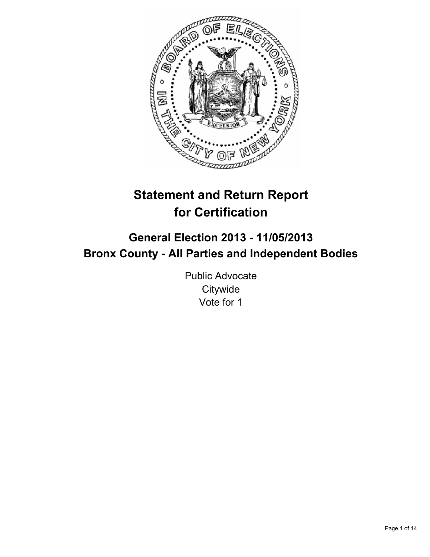

# **Statement and Return Report for Certification**

## **General Election 2013 - 11/05/2013 Bronx County - All Parties and Independent Bodies**

Public Advocate **Citywide** Vote for 1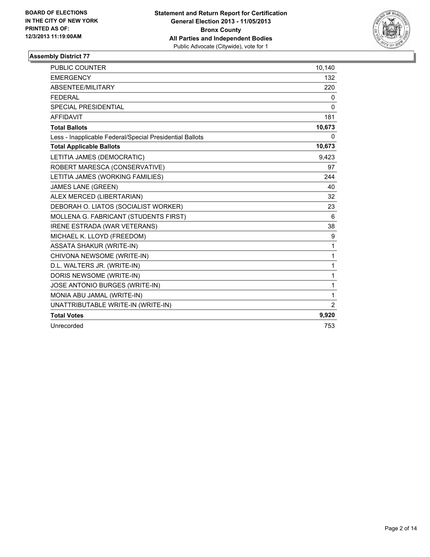

| PUBLIC COUNTER                                           | 10,140         |
|----------------------------------------------------------|----------------|
| <b>EMERGENCY</b>                                         | 132            |
| ABSENTEE/MILITARY                                        | 220            |
| <b>FEDERAL</b>                                           | 0              |
| SPECIAL PRESIDENTIAL                                     | $\mathbf{0}$   |
| <b>AFFIDAVIT</b>                                         | 181            |
| <b>Total Ballots</b>                                     | 10,673         |
| Less - Inapplicable Federal/Special Presidential Ballots | 0              |
| <b>Total Applicable Ballots</b>                          | 10,673         |
| LETITIA JAMES (DEMOCRATIC)                               | 9,423          |
| ROBERT MARESCA (CONSERVATIVE)                            | 97             |
| LETITIA JAMES (WORKING FAMILIES)                         | 244            |
| <b>JAMES LANE (GREEN)</b>                                | 40             |
| ALEX MERCED (LIBERTARIAN)                                | 32             |
| DEBORAH O. LIATOS (SOCIALIST WORKER)                     | 23             |
| MOLLENA G. FABRICANT (STUDENTS FIRST)                    | 6              |
| <b>IRENE ESTRADA (WAR VETERANS)</b>                      | 38             |
| MICHAEL K. LLOYD (FREEDOM)                               | 9              |
| <b>ASSATA SHAKUR (WRITE-IN)</b>                          | 1              |
| CHIVONA NEWSOME (WRITE-IN)                               | 1              |
| D.L. WALTERS JR. (WRITE-IN)                              | 1              |
| DORIS NEWSOME (WRITE-IN)                                 | 1              |
| JOSE ANTONIO BURGES (WRITE-IN)                           | 1              |
| MONIA ABU JAMAL (WRITE-IN)                               | 1              |
| UNATTRIBUTABLE WRITE-IN (WRITE-IN)                       | $\overline{2}$ |
| <b>Total Votes</b>                                       | 9,920          |
| Unrecorded                                               | 753            |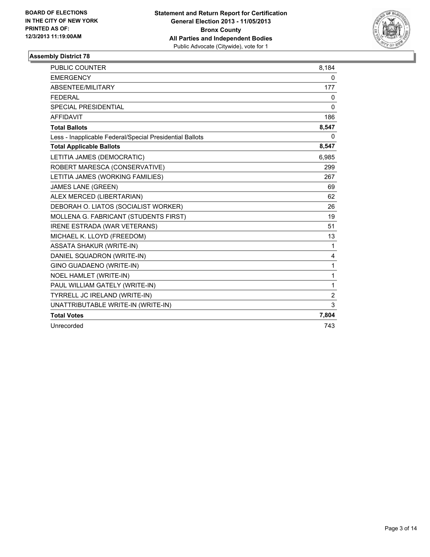

| <b>PUBLIC COUNTER</b>                                    | 8,184          |
|----------------------------------------------------------|----------------|
| <b>EMERGENCY</b>                                         | 0              |
| ABSENTEE/MILITARY                                        | 177            |
| <b>FEDERAL</b>                                           | 0              |
| <b>SPECIAL PRESIDENTIAL</b>                              | 0              |
| <b>AFFIDAVIT</b>                                         | 186            |
| <b>Total Ballots</b>                                     | 8,547          |
| Less - Inapplicable Federal/Special Presidential Ballots | 0              |
| <b>Total Applicable Ballots</b>                          | 8,547          |
| LETITIA JAMES (DEMOCRATIC)                               | 6,985          |
| ROBERT MARESCA (CONSERVATIVE)                            | 299            |
| LETITIA JAMES (WORKING FAMILIES)                         | 267            |
| <b>JAMES LANE (GREEN)</b>                                | 69             |
| ALEX MERCED (LIBERTARIAN)                                | 62             |
| DEBORAH O. LIATOS (SOCIALIST WORKER)                     | 26             |
| MOLLENA G. FABRICANT (STUDENTS FIRST)                    | 19             |
| <b>IRENE ESTRADA (WAR VETERANS)</b>                      | 51             |
| MICHAEL K. LLOYD (FREEDOM)                               | 13             |
| <b>ASSATA SHAKUR (WRITE-IN)</b>                          | 1              |
| DANIEL SQUADRON (WRITE-IN)                               | 4              |
| GINO GUADAENO (WRITE-IN)                                 | 1              |
| NOEL HAMLET (WRITE-IN)                                   | 1              |
| PAUL WILLIAM GATELY (WRITE-IN)                           | 1              |
| TYRRELL JC IRELAND (WRITE-IN)                            | $\overline{2}$ |
| UNATTRIBUTABLE WRITE-IN (WRITE-IN)                       | 3              |
| <b>Total Votes</b>                                       | 7,804          |
| Unrecorded                                               | 743            |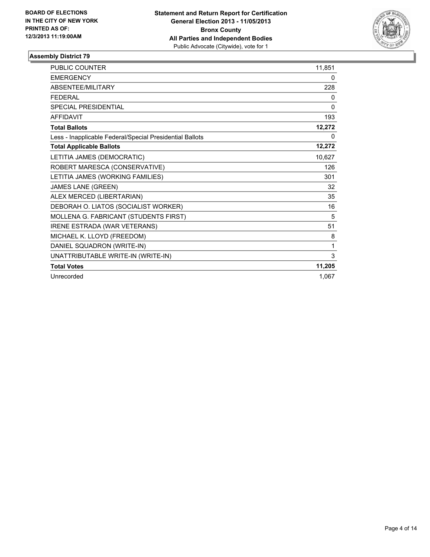

| PUBLIC COUNTER                                           | 11,851       |
|----------------------------------------------------------|--------------|
| <b>EMERGENCY</b>                                         | 0            |
| <b>ABSENTEE/MILITARY</b>                                 | 228          |
| <b>FEDERAL</b>                                           | 0            |
| <b>SPECIAL PRESIDENTIAL</b>                              | $\mathbf{0}$ |
| <b>AFFIDAVIT</b>                                         | 193          |
| <b>Total Ballots</b>                                     | 12,272       |
| Less - Inapplicable Federal/Special Presidential Ballots | 0            |
| <b>Total Applicable Ballots</b>                          | 12,272       |
| LETITIA JAMES (DEMOCRATIC)                               | 10,627       |
| ROBERT MARESCA (CONSERVATIVE)                            | 126          |
| LETITIA JAMES (WORKING FAMILIES)                         | 301          |
| <b>JAMES LANE (GREEN)</b>                                | 32           |
| ALEX MERCED (LIBERTARIAN)                                | 35           |
| DEBORAH O. LIATOS (SOCIALIST WORKER)                     | 16           |
| MOLLENA G. FABRICANT (STUDENTS FIRST)                    | 5            |
| <b>IRENE ESTRADA (WAR VETERANS)</b>                      | 51           |
| MICHAEL K. LLOYD (FREEDOM)                               | 8            |
| DANIEL SQUADRON (WRITE-IN)                               | 1            |
| UNATTRIBUTABLE WRITE-IN (WRITE-IN)                       | 3            |
| <b>Total Votes</b>                                       | 11,205       |
| Unrecorded                                               | 1,067        |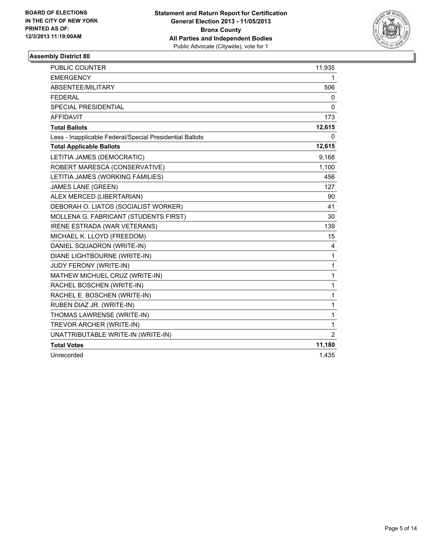

| <b>PUBLIC COUNTER</b>                                    | 11,935         |
|----------------------------------------------------------|----------------|
| <b>EMERGENCY</b>                                         | 1              |
| ABSENTEE/MILITARY                                        | 506            |
| <b>FEDERAL</b>                                           | 0              |
| <b>SPECIAL PRESIDENTIAL</b>                              | 0              |
| <b>AFFIDAVIT</b>                                         | 173            |
| <b>Total Ballots</b>                                     | 12,615         |
| Less - Inapplicable Federal/Special Presidential Ballots | 0              |
| <b>Total Applicable Ballots</b>                          | 12,615         |
| LETITIA JAMES (DEMOCRATIC)                               | 9,168          |
| ROBERT MARESCA (CONSERVATIVE)                            | 1,100          |
| LETITIA JAMES (WORKING FAMILIES)                         | 456            |
| <b>JAMES LANE (GREEN)</b>                                | 127            |
| ALEX MERCED (LIBERTARIAN)                                | 90             |
| DEBORAH O. LIATOS (SOCIALIST WORKER)                     | 41             |
| MOLLENA G. FABRICANT (STUDENTS FIRST)                    | 30             |
| <b>IRENE ESTRADA (WAR VETERANS)</b>                      | 139            |
| MICHAEL K. LLOYD (FREEDOM)                               | 15             |
| DANIEL SQUADRON (WRITE-IN)                               | 4              |
| DIANE LIGHTBOURNE (WRITE-IN)                             | 1              |
| JUDY FERONY (WRITE-IN)                                   | 1              |
| MATHEW MICHUEL CRUZ (WRITE-IN)                           | 1              |
| RACHEL BOSCHEN (WRITE-IN)                                | 1              |
| RACHEL E. BOSCHEN (WRITE-IN)                             | 1              |
| RUBEN DIAZ JR. (WRITE-IN)                                | 1              |
| THOMAS LAWRENSE (WRITE-IN)                               | 1              |
| TREVOR ARCHER (WRITE-IN)                                 | 1              |
| UNATTRIBUTABLE WRITE-IN (WRITE-IN)                       | $\overline{2}$ |
| <b>Total Votes</b>                                       | 11,180         |
| Unrecorded                                               | 1,435          |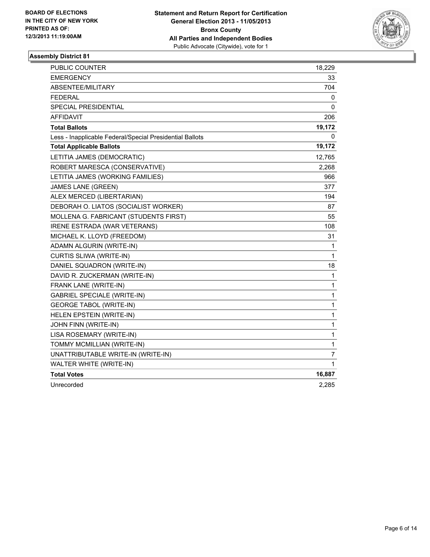

| <b>PUBLIC COUNTER</b>                                    | 18,229       |
|----------------------------------------------------------|--------------|
| <b>EMERGENCY</b>                                         | 33           |
| ABSENTEE/MILITARY                                        | 704          |
| <b>FEDERAL</b>                                           | 0            |
| <b>SPECIAL PRESIDENTIAL</b>                              | 0            |
| <b>AFFIDAVIT</b>                                         | 206          |
| <b>Total Ballots</b>                                     | 19,172       |
| Less - Inapplicable Federal/Special Presidential Ballots | 0            |
| <b>Total Applicable Ballots</b>                          | 19,172       |
| LETITIA JAMES (DEMOCRATIC)                               | 12,765       |
| ROBERT MARESCA (CONSERVATIVE)                            | 2,268        |
| LETITIA JAMES (WORKING FAMILIES)                         | 966          |
| <b>JAMES LANE (GREEN)</b>                                | 377          |
| ALEX MERCED (LIBERTARIAN)                                | 194          |
| DEBORAH O. LIATOS (SOCIALIST WORKER)                     | 87           |
| MOLLENA G. FABRICANT (STUDENTS FIRST)                    | 55           |
| <b>IRENE ESTRADA (WAR VETERANS)</b>                      | 108          |
| MICHAEL K. LLOYD (FREEDOM)                               | 31           |
| ADAMN ALGURIN (WRITE-IN)                                 | 1            |
| CURTIS SLIWA (WRITE-IN)                                  | 1            |
| DANIEL SQUADRON (WRITE-IN)                               | 18           |
| DAVID R. ZUCKERMAN (WRITE-IN)                            | $\mathbf{1}$ |
| FRANK LANE (WRITE-IN)                                    | 1            |
| <b>GABRIEL SPECIALE (WRITE-IN)</b>                       | $\mathbf{1}$ |
| <b>GEORGE TABOL (WRITE-IN)</b>                           | 1            |
| HELEN EPSTEIN (WRITE-IN)                                 | 1            |
| JOHN FINN (WRITE-IN)                                     | 1            |
| LISA ROSEMARY (WRITE-IN)                                 | $\mathbf{1}$ |
| TOMMY MCMILLIAN (WRITE-IN)                               | 1            |
| UNATTRIBUTABLE WRITE-IN (WRITE-IN)                       | 7            |
| WALTER WHITE (WRITE-IN)                                  | 1            |
| <b>Total Votes</b>                                       | 16,887       |
| Unrecorded                                               | 2,285        |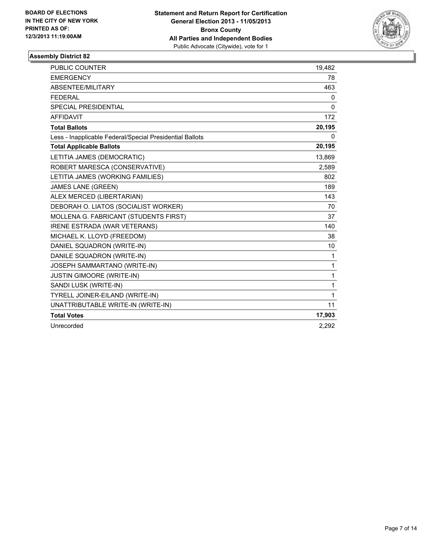

| <b>PUBLIC COUNTER</b>                                    | 19,482       |
|----------------------------------------------------------|--------------|
| <b>EMERGENCY</b>                                         | 78           |
| ABSENTEE/MILITARY                                        | 463          |
| <b>FEDERAL</b>                                           | 0            |
| SPECIAL PRESIDENTIAL                                     | $\mathbf{0}$ |
| <b>AFFIDAVIT</b>                                         | 172          |
| <b>Total Ballots</b>                                     | 20,195       |
| Less - Inapplicable Federal/Special Presidential Ballots | 0            |
| <b>Total Applicable Ballots</b>                          | 20,195       |
| LETITIA JAMES (DEMOCRATIC)                               | 13,869       |
| ROBERT MARESCA (CONSERVATIVE)                            | 2,589        |
| LETITIA JAMES (WORKING FAMILIES)                         | 802          |
| <b>JAMES LANE (GREEN)</b>                                | 189          |
| ALEX MERCED (LIBERTARIAN)                                | 143          |
| DEBORAH O. LIATOS (SOCIALIST WORKER)                     | 70           |
| MOLLENA G. FABRICANT (STUDENTS FIRST)                    | 37           |
| <b>IRENE ESTRADA (WAR VETERANS)</b>                      | 140          |
| MICHAEL K. LLOYD (FREEDOM)                               | 38           |
| DANIEL SQUADRON (WRITE-IN)                               | 10           |
| DANILE SQUADRON (WRITE-IN)                               | 1            |
| JOSEPH SAMMARTANO (WRITE-IN)                             | $\mathbf{1}$ |
| JUSTIN GIMOORE (WRITE-IN)                                | 1            |
| SANDI LUSK (WRITE-IN)                                    | 1            |
| TYRELL JOINER-EILAND (WRITE-IN)                          | 1            |
| UNATTRIBUTABLE WRITE-IN (WRITE-IN)                       | 11           |
| <b>Total Votes</b>                                       | 17,903       |
| Unrecorded                                               | 2,292        |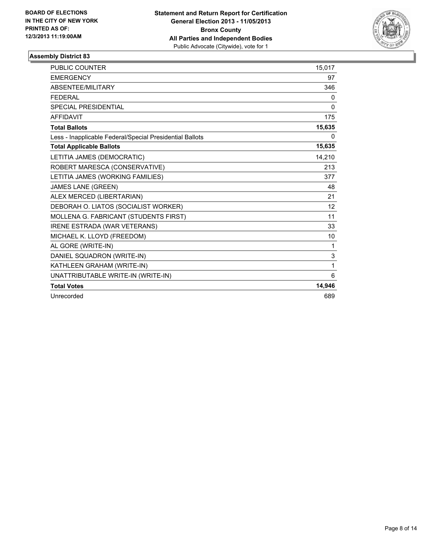

| <b>PUBLIC COUNTER</b>                                    | 15,017   |
|----------------------------------------------------------|----------|
| <b>EMERGENCY</b>                                         | 97       |
| ABSENTEE/MILITARY                                        | 346      |
| <b>FEDERAL</b>                                           | 0        |
| SPECIAL PRESIDENTIAL                                     | $\Omega$ |
| <b>AFFIDAVIT</b>                                         | 175      |
| <b>Total Ballots</b>                                     | 15,635   |
| Less - Inapplicable Federal/Special Presidential Ballots | 0        |
| <b>Total Applicable Ballots</b>                          | 15,635   |
| LETITIA JAMES (DEMOCRATIC)                               | 14.210   |
| ROBERT MARESCA (CONSERVATIVE)                            | 213      |
| LETITIA JAMES (WORKING FAMILIES)                         | 377      |
| <b>JAMES LANE (GREEN)</b>                                | 48       |
| ALEX MERCED (LIBERTARIAN)                                | 21       |
| DEBORAH O. LIATOS (SOCIALIST WORKER)                     | 12       |
| MOLLENA G. FABRICANT (STUDENTS FIRST)                    | 11       |
| <b>IRENE ESTRADA (WAR VETERANS)</b>                      | 33       |
| MICHAEL K. LLOYD (FREEDOM)                               | 10       |
| AL GORE (WRITE-IN)                                       | 1        |
| DANIEL SQUADRON (WRITE-IN)                               | 3        |
| KATHLEEN GRAHAM (WRITE-IN)                               | 1        |
| UNATTRIBUTABLE WRITE-IN (WRITE-IN)                       | 6        |
| <b>Total Votes</b>                                       | 14,946   |
| Unrecorded                                               | 689      |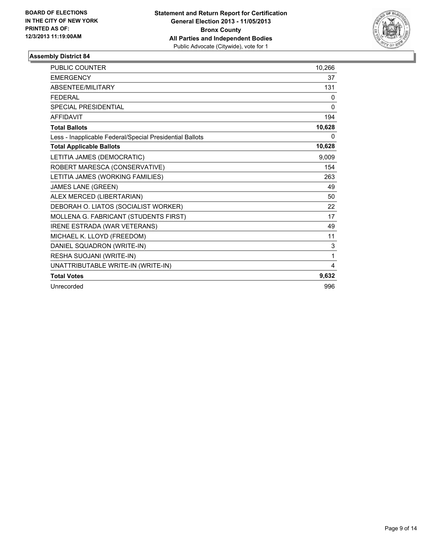

| <b>PUBLIC COUNTER</b>                                    | 10,266 |
|----------------------------------------------------------|--------|
| <b>EMERGENCY</b>                                         | 37     |
| <b>ABSENTEE/MILITARY</b>                                 | 131    |
| <b>FEDERAL</b>                                           | 0      |
| <b>SPECIAL PRESIDENTIAL</b>                              | 0      |
| <b>AFFIDAVIT</b>                                         | 194    |
| <b>Total Ballots</b>                                     | 10,628 |
| Less - Inapplicable Federal/Special Presidential Ballots | 0      |
| <b>Total Applicable Ballots</b>                          | 10,628 |
| LETITIA JAMES (DEMOCRATIC)                               | 9,009  |
| ROBERT MARESCA (CONSERVATIVE)                            | 154    |
| LETITIA JAMES (WORKING FAMILIES)                         | 263    |
| <b>JAMES LANE (GREEN)</b>                                | 49     |
| ALEX MERCED (LIBERTARIAN)                                | 50     |
| DEBORAH O. LIATOS (SOCIALIST WORKER)                     | 22     |
| MOLLENA G. FABRICANT (STUDENTS FIRST)                    | 17     |
| <b>IRENE ESTRADA (WAR VETERANS)</b>                      | 49     |
| MICHAEL K. LLOYD (FREEDOM)                               | 11     |
| DANIEL SQUADRON (WRITE-IN)                               | 3      |
| RESHA SUOJANI (WRITE-IN)                                 | 1      |
| UNATTRIBUTABLE WRITE-IN (WRITE-IN)                       | 4      |
| <b>Total Votes</b>                                       | 9,632  |
| Unrecorded                                               | 996    |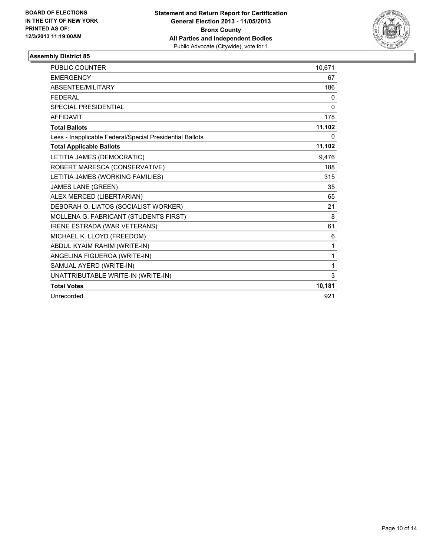

| <b>PUBLIC COUNTER</b>                                    | 10,671   |
|----------------------------------------------------------|----------|
| <b>EMERGENCY</b>                                         | 67       |
| ABSENTEE/MILITARY                                        | 186      |
| <b>FEDERAL</b>                                           | 0        |
| SPECIAL PRESIDENTIAL                                     | $\Omega$ |
| <b>AFFIDAVIT</b>                                         | 178      |
| <b>Total Ballots</b>                                     | 11,102   |
| Less - Inapplicable Federal/Special Presidential Ballots | 0        |
| <b>Total Applicable Ballots</b>                          | 11,102   |
| LETITIA JAMES (DEMOCRATIC)                               | 9.476    |
| ROBERT MARESCA (CONSERVATIVE)                            | 188      |
| LETITIA JAMES (WORKING FAMILIES)                         | 315      |
| JAMES LANE (GREEN)                                       | 35       |
| ALEX MERCED (LIBERTARIAN)                                | 65       |
| DEBORAH O. LIATOS (SOCIALIST WORKER)                     | 21       |
| MOLLENA G. FABRICANT (STUDENTS FIRST)                    | 8        |
| <b>IRENE ESTRADA (WAR VETERANS)</b>                      | 61       |
| MICHAEL K. LLOYD (FREEDOM)                               | 6        |
| ABDUL KYAIM RAHIM (WRITE-IN)                             | 1        |
| ANGELINA FIGUEROA (WRITE-IN)                             | 1        |
| SAMUAL AYERD (WRITE-IN)                                  | 1        |
| UNATTRIBUTABLE WRITE-IN (WRITE-IN)                       | 3        |
| <b>Total Votes</b>                                       | 10,181   |
| Unrecorded                                               | 921      |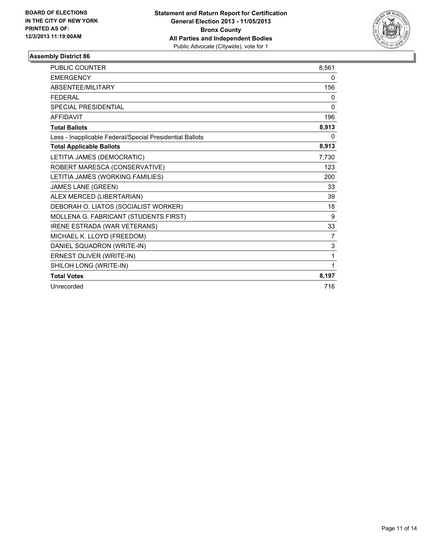

| <b>PUBLIC COUNTER</b>                                    | 8.561 |
|----------------------------------------------------------|-------|
| <b>EMERGENCY</b>                                         | 0     |
| <b>ABSENTEE/MILITARY</b>                                 | 156   |
| <b>FEDERAL</b>                                           | 0     |
| <b>SPECIAL PRESIDENTIAL</b>                              | 0     |
| <b>AFFIDAVIT</b>                                         | 196   |
| <b>Total Ballots</b>                                     | 8,913 |
| Less - Inapplicable Federal/Special Presidential Ballots | 0     |
| <b>Total Applicable Ballots</b>                          | 8,913 |
| LETITIA JAMES (DEMOCRATIC)                               | 7,730 |
| ROBERT MARESCA (CONSERVATIVE)                            | 123   |
| LETITIA JAMES (WORKING FAMILIES)                         | 200   |
| <b>JAMES LANE (GREEN)</b>                                | 33    |
| ALEX MERCED (LIBERTARIAN)                                | 39    |
| DEBORAH O. LIATOS (SOCIALIST WORKER)                     | 18    |
| MOLLENA G. FABRICANT (STUDENTS FIRST)                    | 9     |
| <b>IRENE ESTRADA (WAR VETERANS)</b>                      | 33    |
| MICHAEL K. LLOYD (FREEDOM)                               | 7     |
| DANIEL SQUADRON (WRITE-IN)                               | 3     |
| ERNEST OLIVER (WRITE-IN)                                 | 1     |
| SHILOH LONG (WRITE-IN)                                   | 1     |
| <b>Total Votes</b>                                       | 8,197 |
| Unrecorded                                               | 716   |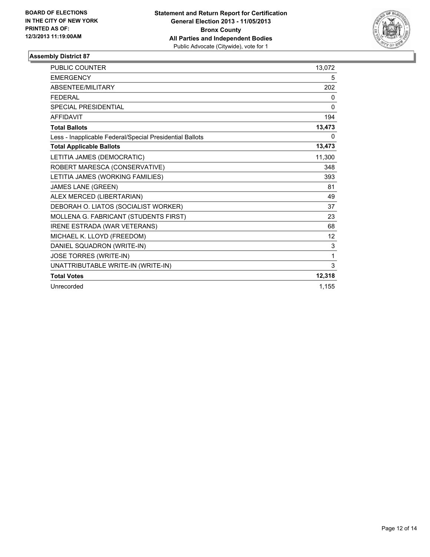

| <b>PUBLIC COUNTER</b>                                    | 13,072            |
|----------------------------------------------------------|-------------------|
| <b>EMERGENCY</b>                                         | 5                 |
| ABSENTEE/MILITARY                                        | 202               |
| <b>FFDFRAI</b>                                           | 0                 |
| SPECIAL PRESIDENTIAL                                     | $\Omega$          |
| <b>AFFIDAVIT</b>                                         | 194               |
| <b>Total Ballots</b>                                     | 13,473            |
| Less - Inapplicable Federal/Special Presidential Ballots | 0                 |
| <b>Total Applicable Ballots</b>                          | 13,473            |
| LETITIA JAMES (DEMOCRATIC)                               | 11,300            |
| ROBERT MARESCA (CONSERVATIVE)                            | 348               |
| LETITIA JAMES (WORKING FAMILIES)                         | 393               |
| <b>JAMES LANE (GREEN)</b>                                | 81                |
| ALEX MERCED (LIBERTARIAN)                                | 49                |
| DEBORAH O. LIATOS (SOCIALIST WORKER)                     | 37                |
| MOLLENA G. FABRICANT (STUDENTS FIRST)                    | 23                |
| <b>IRENE ESTRADA (WAR VETERANS)</b>                      | 68                |
| MICHAEL K. LLOYD (FREEDOM)                               | $12 \overline{ }$ |
| DANIEL SQUADRON (WRITE-IN)                               | 3                 |
| JOSE TORRES (WRITE-IN)                                   | 1                 |
| UNATTRIBUTABLE WRITE-IN (WRITE-IN)                       | 3                 |
| <b>Total Votes</b>                                       | 12,318            |
| Unrecorded                                               | 1,155             |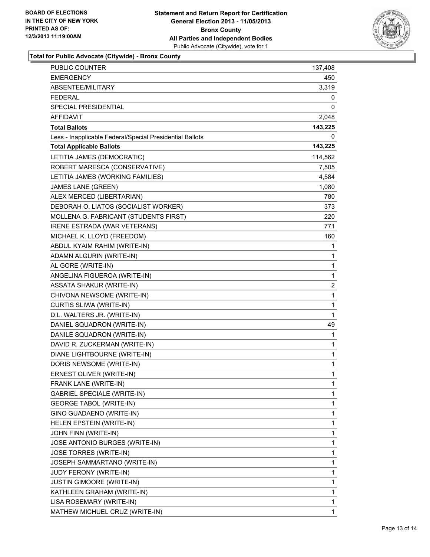

**Total for Public Advocate (Citywide) - Bronx County**

| PUBLIC COUNTER                                           | 137,408      |
|----------------------------------------------------------|--------------|
| <b>EMERGENCY</b>                                         | 450          |
| ABSENTEE/MILITARY                                        | 3,319        |
| <b>FEDERAL</b>                                           | 0            |
| SPECIAL PRESIDENTIAL                                     | 0            |
| AFFIDAVIT                                                | 2,048        |
| <b>Total Ballots</b>                                     | 143,225      |
| Less - Inapplicable Federal/Special Presidential Ballots | 0            |
| <b>Total Applicable Ballots</b>                          | 143,225      |
| LETITIA JAMES (DEMOCRATIC)                               | 114,562      |
| ROBERT MARESCA (CONSERVATIVE)                            | 7,505        |
| LETITIA JAMES (WORKING FAMILIES)                         | 4,584        |
| JAMES LANE (GREEN)                                       | 1,080        |
| ALEX MERCED (LIBERTARIAN)                                | 780          |
| DEBORAH O. LIATOS (SOCIALIST WORKER)                     | 373          |
| MOLLENA G. FABRICANT (STUDENTS FIRST)                    | 220          |
| IRENE ESTRADA (WAR VETERANS)                             | 771          |
| MICHAEL K. LLOYD (FREEDOM)                               | 160          |
| ABDUL KYAIM RAHIM (WRITE-IN)                             | 1            |
| ADAMN ALGURIN (WRITE-IN)                                 | 1            |
| AL GORE (WRITE-IN)                                       | $\mathbf{1}$ |
| ANGELINA FIGUEROA (WRITE-IN)                             | 1            |
| ASSATA SHAKUR (WRITE-IN)                                 | $\mathbf{2}$ |
| CHIVONA NEWSOME (WRITE-IN)                               | $\mathbf{1}$ |
| CURTIS SLIWA (WRITE-IN)                                  | 1            |
| D.L. WALTERS JR. (WRITE-IN)                              | 1            |
| DANIEL SQUADRON (WRITE-IN)                               | 49           |
| DANILE SQUADRON (WRITE-IN)                               | 1            |
| DAVID R. ZUCKERMAN (WRITE-IN)                            | 1            |
| DIANE LIGHTBOURNE (WRITE-IN)                             | $\mathbf{1}$ |
| DORIS NEWSOME (WRITE-IN)                                 | $\mathbf 1$  |
| ERNEST OLIVER (WRITE-IN)                                 | 1            |
| FRANK LANE (WRITE-IN)                                    | 1            |
| <b>GABRIEL SPECIALE (WRITE-IN)</b>                       | 1            |
| <b>GEORGE TABOL (WRITE-IN)</b>                           | 1            |
| GINO GUADAENO (WRITE-IN)                                 | $\mathbf{1}$ |
| HELEN EPSTEIN (WRITE-IN)                                 | 1            |
| JOHN FINN (WRITE-IN)                                     | 1            |
| JOSE ANTONIO BURGES (WRITE-IN)                           | 1            |
| JOSE TORRES (WRITE-IN)                                   | 1            |
| JOSEPH SAMMARTANO (WRITE-IN)                             | 1            |
| <b>JUDY FERONY (WRITE-IN)</b>                            | $\mathbf{1}$ |
| <b>JUSTIN GIMOORE (WRITE-IN)</b>                         | 1            |
| KATHLEEN GRAHAM (WRITE-IN)                               | 1            |
| LISA ROSEMARY (WRITE-IN)                                 | 1            |
| MATHEW MICHUEL CRUZ (WRITE-IN)                           | 1            |